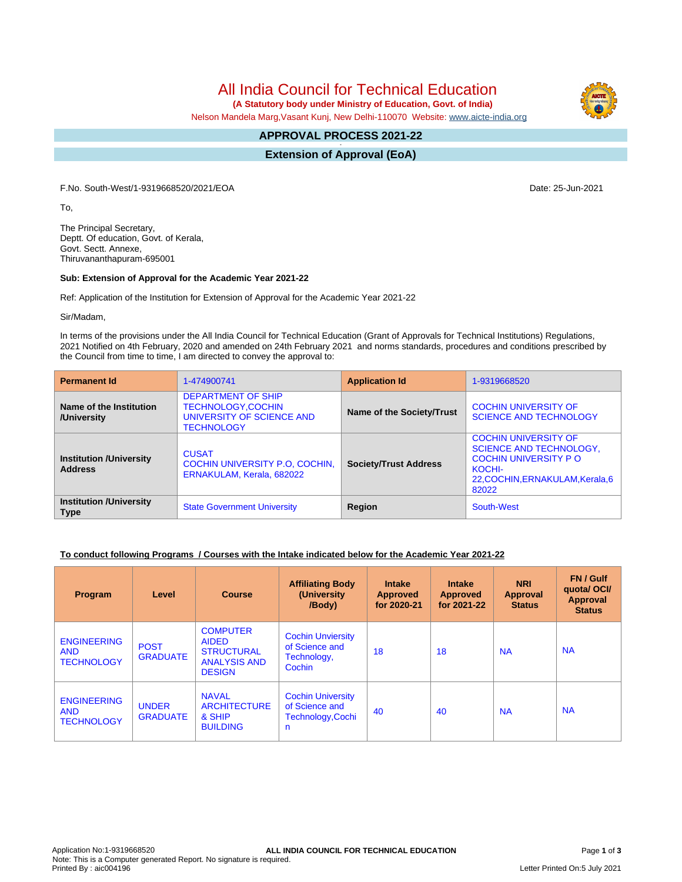All India Council for Technical Education

 **(A Statutory body under Ministry of Education, Govt. of India)**

Nelson Mandela Marg,Vasant Kunj, New Delhi-110070 Website: [www.aicte-india.org](http://www.aicte-india.org)

#### **APPROVAL PROCESS 2021-22 -**

**Extension of Approval (EoA)**

F.No. South-West/1-9319668520/2021/EOA Date: 25-Jun-2021

To,

The Principal Secretary, Deptt. Of education, Govt. of Kerala, Govt. Sectt. Annexe, Thiruvananthapuram-695001

#### **Sub: Extension of Approval for the Academic Year 2021-22**

Ref: Application of the Institution for Extension of Approval for the Academic Year 2021-22

Sir/Madam,

In terms of the provisions under the All India Council for Technical Education (Grant of Approvals for Technical Institutions) Regulations, 2021 Notified on 4th February, 2020 and amended on 24th February 2021 and norms standards, procedures and conditions prescribed by the Council from time to time, I am directed to convey the approval to:

| <b>Permanent Id</b>                              | 1-474900741                                                                                       | <b>Application Id</b>        | 1-9319668520                                                                                                                                        |  |
|--------------------------------------------------|---------------------------------------------------------------------------------------------------|------------------------------|-----------------------------------------------------------------------------------------------------------------------------------------------------|--|
| Name of the Institution<br>/University           | <b>DEPARTMENT OF SHIP</b><br>TECHNOLOGY, COCHIN<br>UNIVERSITY OF SCIENCE AND<br><b>TECHNOLOGY</b> | Name of the Society/Trust    | <b>COCHIN UNIVERSITY OF</b><br><b>SCIENCE AND TECHNOLOGY</b>                                                                                        |  |
| <b>Institution /University</b><br><b>Address</b> | <b>CUSAT</b><br><b>COCHIN UNIVERSITY P.O. COCHIN.</b><br>ERNAKULAM, Kerala, 682022                | <b>Society/Trust Address</b> | <b>COCHIN UNIVERSITY OF</b><br><b>SCIENCE AND TECHNOLOGY,</b><br><b>COCHIN UNIVERSITY PO</b><br>KOCHI-<br>22, COCHIN, ERNAKULAM, Kerala, 6<br>82022 |  |
| <b>Institution /University</b><br><b>Type</b>    | <b>State Government University</b>                                                                | Region                       | South-West                                                                                                                                          |  |

### **To conduct following Programs / Courses with the Intake indicated below for the Academic Year 2021-22**

| Program                                               | Level                           | <b>Course</b>                                                                                | <b>Affiliating Body</b><br>(University<br>/Body)                     | <b>Intake</b><br><b>Approved</b><br>for 2020-21 | <b>Intake</b><br><b>Approved</b><br>for 2021-22 | <b>NRI</b><br>Approval<br><b>Status</b> | FN / Gulf<br>quotal OCI/<br><b>Approval</b><br><b>Status</b> |
|-------------------------------------------------------|---------------------------------|----------------------------------------------------------------------------------------------|----------------------------------------------------------------------|-------------------------------------------------|-------------------------------------------------|-----------------------------------------|--------------------------------------------------------------|
| <b>ENGINEERING</b><br><b>AND</b><br><b>TECHNOLOGY</b> | <b>POST</b><br><b>GRADUATE</b>  | <b>COMPUTER</b><br><b>AIDED</b><br><b>STRUCTURAL</b><br><b>ANALYSIS AND</b><br><b>DESIGN</b> | <b>Cochin Unviersity</b><br>of Science and<br>Technology,<br>Cochin  | 18                                              | 18                                              | <b>NA</b>                               | <b>NA</b>                                                    |
| <b>ENGINEERING</b><br><b>AND</b><br><b>TECHNOLOGY</b> | <b>UNDER</b><br><b>GRADUATE</b> | <b>NAVAL</b><br><b>ARCHITECTURE</b><br>& SHIP<br><b>BUILDING</b>                             | <b>Cochin University</b><br>of Science and<br>Technology, Cochi<br>n | 40                                              | 40                                              | <b>NA</b>                               | <b>NA</b>                                                    |



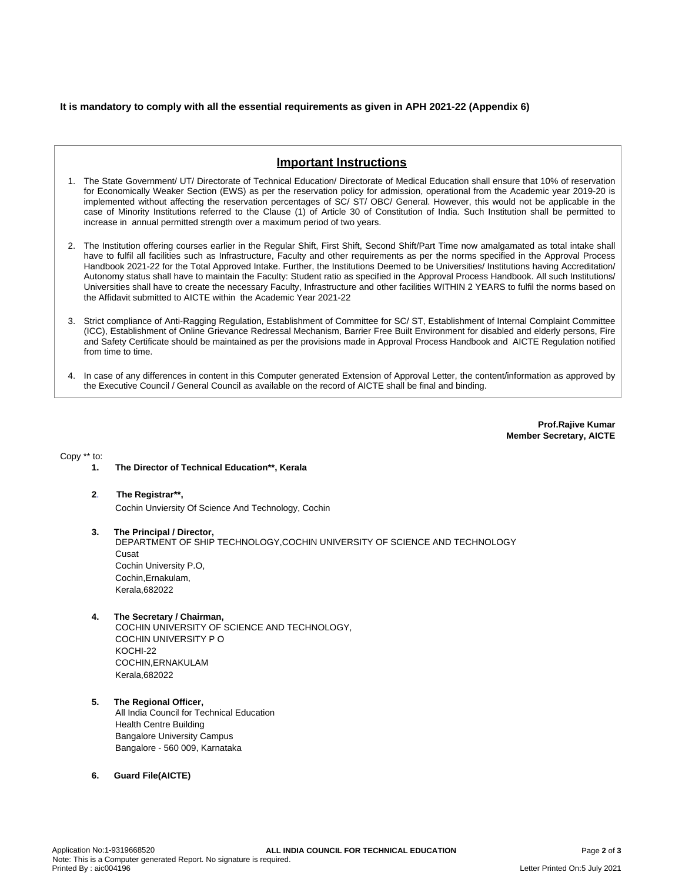## **It is mandatory to comply with all the essential requirements as given in APH 2021-22 (Appendix 6)**

# **Important Instructions**

- 1. The State Government/ UT/ Directorate of Technical Education/ Directorate of Medical Education shall ensure that 10% of reservation for Economically Weaker Section (EWS) as per the reservation policy for admission, operational from the Academic year 2019-20 is implemented without affecting the reservation percentages of SC/ ST/ OBC/ General. However, this would not be applicable in the case of Minority Institutions referred to the Clause (1) of Article 30 of Constitution of India. Such Institution shall be permitted to increase in annual permitted strength over a maximum period of two years.
- 2. The Institution offering courses earlier in the Regular Shift, First Shift, Second Shift/Part Time now amalgamated as total intake shall have to fulfil all facilities such as Infrastructure, Faculty and other requirements as per the norms specified in the Approval Process Handbook 2021-22 for the Total Approved Intake. Further, the Institutions Deemed to be Universities/ Institutions having Accreditation/ Autonomy status shall have to maintain the Faculty: Student ratio as specified in the Approval Process Handbook. All such Institutions/ Universities shall have to create the necessary Faculty, Infrastructure and other facilities WITHIN 2 YEARS to fulfil the norms based on the Affidavit submitted to AICTE within the Academic Year 2021-22
- 3. Strict compliance of Anti-Ragging Regulation, Establishment of Committee for SC/ ST, Establishment of Internal Complaint Committee (ICC), Establishment of Online Grievance Redressal Mechanism, Barrier Free Built Environment for disabled and elderly persons, Fire and Safety Certificate should be maintained as per the provisions made in Approval Process Handbook and AICTE Regulation notified from time to time.
- 4. In case of any differences in content in this Computer generated Extension of Approval Letter, the content/information as approved by the Executive Council / General Council as available on the record of AICTE shall be final and binding.

**Prof.Rajive Kumar Member Secretary, AICTE**

Copy \*\* to:

- **1. The Director of Technical Education\*\*, Kerala**
- **2**. **The Registrar\*\*,** Cochin Unviersity Of Science And Technology, Cochin
- **3. The Principal / Director,** DEPARTMENT OF SHIP TECHNOLOGY,COCHIN UNIVERSITY OF SCIENCE AND TECHNOLOGY Cusat Cochin University P.O, Cochin,Ernakulam, Kerala,682022
- **4. The Secretary / Chairman,** COCHIN UNIVERSITY OF SCIENCE AND TECHNOLOGY, COCHIN UNIVERSITY P O KOCHI-22 COCHIN,ERNAKULAM Kerala,682022
- **5. The Regional Officer,** All India Council for Technical Education Health Centre Building Bangalore University Campus Bangalore - 560 009, Karnataka
- **6. Guard File(AICTE)**